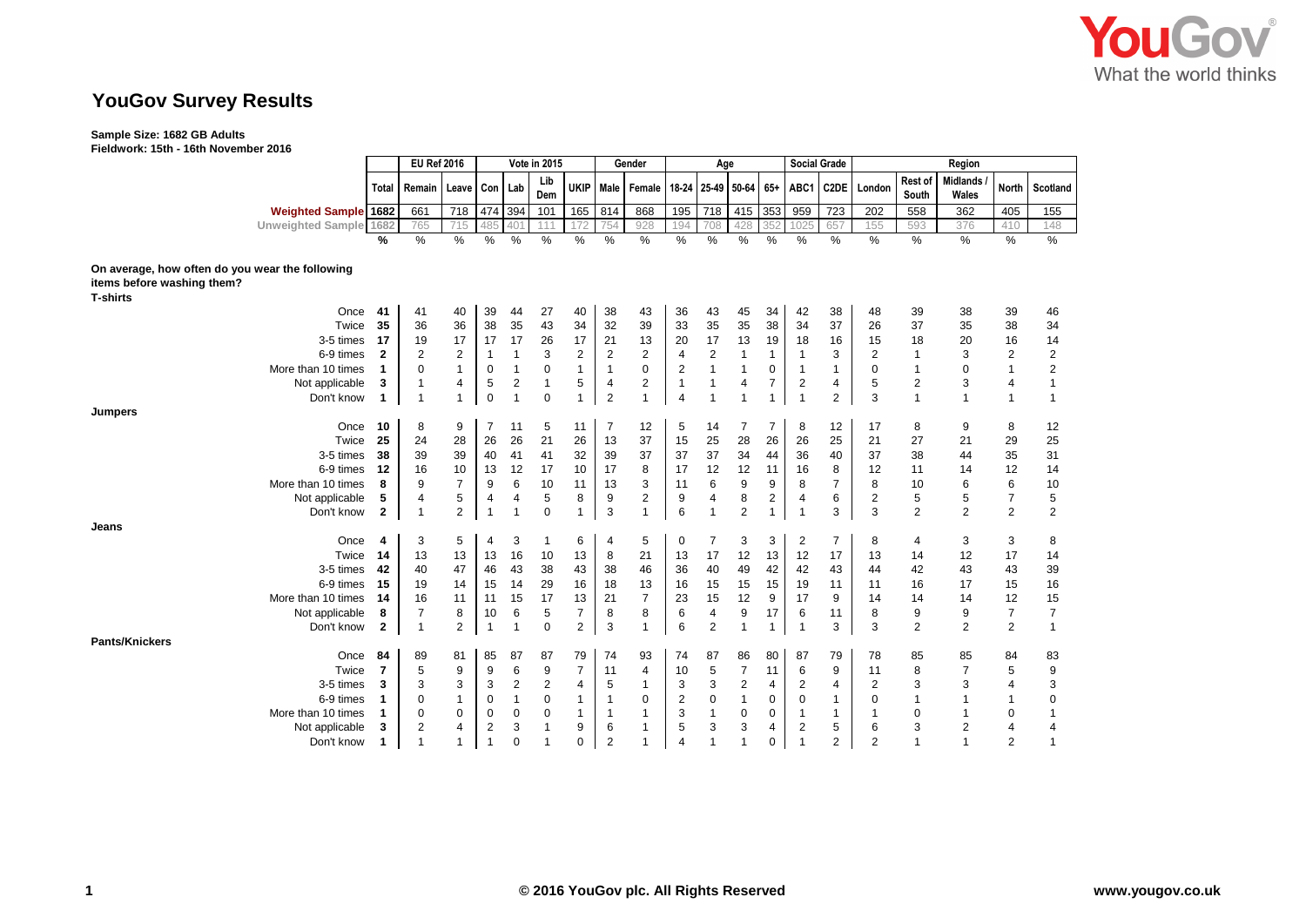

# **YouGov Survey Results**

### **Sample Size: 1682 GB Adults**

**Fieldwork: 15th - 16th November 2016**

|                                                 |                | <b>EU Ref 2016</b><br>Vote in 2015 |                |                | Gender<br>Age  |              |                         |                |                                       |                | <b>Social Grade</b> | Region         |              |                         |                   |                |                         |                          |                |                         |
|-------------------------------------------------|----------------|------------------------------------|----------------|----------------|----------------|--------------|-------------------------|----------------|---------------------------------------|----------------|---------------------|----------------|--------------|-------------------------|-------------------|----------------|-------------------------|--------------------------|----------------|-------------------------|
|                                                 | Total          | Remain                             | Leave Con      |                | Lab            | Lib<br>Dem   | <b>UKIP</b>             |                | Male   Female   18-24   25-49   50-64 |                |                     |                |              | 65+ ABC1                | C <sub>2</sub> DE | London         | <b>Rest of</b><br>South | <b>Midlands</b><br>Wales | <b>North</b>   | Scotland                |
| <b>Weighted Sample 1682</b>                     |                | 661                                | 718            | 474 394        |                | 101          | 165                     | 814            | 868                                   | 195            | $\overline{718}$    | 415            | 353          | 959                     | 723               | 202            | 558                     | 362                      | 405            | 155                     |
| <b>Unweighted Sample</b>                        | 1682           | 765                                | 715            | 485            | 401            | 111          | 172                     | 754            | 928                                   | 194            | 708                 | 428            | 352          | 1025                    | 657               | 155            | 593                     | 376                      | 410            | 148                     |
|                                                 | %              | $\%$                               | %              | %              | $\%$           | $\%$         | $\%$                    | %              | $\%$                                  | $\frac{0}{0}$  | %                   | $\%$           | %            | %                       | %                 | $\%$           | %                       | $\frac{0}{0}$            | $\frac{0}{0}$  | $\frac{0}{0}$           |
| On average, how often do you wear the following |                |                                    |                |                |                |              |                         |                |                                       |                |                     |                |              |                         |                   |                |                         |                          |                |                         |
| items before washing them?                      |                |                                    |                |                |                |              |                         |                |                                       |                |                     |                |              |                         |                   |                |                         |                          |                |                         |
| <b>T-shirts</b>                                 |                |                                    |                |                |                |              |                         |                |                                       |                |                     |                |              |                         |                   |                |                         |                          |                |                         |
| Once                                            | 41             | 41                                 | 40             | 39             | 44             | 27           | 40                      | 38             | 43                                    | 36             | 43                  | 45             | 34           | 42                      | 38                | 48             | 39                      | 38                       | 39             | 46                      |
| Twice                                           | 35             | 36                                 | 36             | 38             | 35             | 43           | 34                      | 32             | 39                                    | 33             | 35                  | 35             | 38           | 34                      | 37                | 26             | 37                      | 35                       | 38             | 34                      |
| 3-5 times                                       | 17             | 19                                 | 17             | 17             | 17             | 26           | 17                      | 21             | 13                                    | 20             | 17                  | 13             | 19           | 18                      | 16                | 15             | 18                      | 20                       | 16             | 14                      |
| 6-9 times                                       | $\overline{2}$ | $\overline{2}$                     | $\overline{2}$ | -1             | $\mathbf{1}$   | 3            | $\overline{\mathbf{c}}$ | 2              | 2                                     | 4              | 2                   | 1              | 1            | 1                       | 3                 | 2              | 1                       | 3                        | $\overline{2}$ | $\overline{\mathbf{c}}$ |
| More than 10 times                              | $\mathbf{1}$   | $\Omega$                           | $\mathbf{1}$   | $\mathbf 0$    | $\mathbf{1}$   | 0            | $\mathbf{1}$            | $\overline{1}$ | $\mathbf 0$                           | $\overline{2}$ | $\mathbf{1}$        |                | 0            | $\mathbf{1}$            | $\mathbf{1}$      | 0              | $\overline{1}$          | $\mathbf 0$              | $\mathbf{1}$   | 2                       |
| Not applicable                                  | 3              | -1                                 | 4              | 5              | $\overline{2}$ | $\mathbf{1}$ | 5                       | 4              | 2                                     | $\mathbf{1}$   | $\mathbf{1}$        | 4              | 7            | $\overline{2}$          | 4                 | 5              | $\overline{c}$          | 3                        | $\overline{4}$ | $\mathbf{1}$            |
| Don't know                                      | $\mathbf{1}$   | -1                                 | $\mathbf{1}$   | $\Omega$       | $\overline{1}$ | $\mathbf 0$  | 1                       | $\overline{2}$ | $\mathbf{1}$                          | $\overline{4}$ | $\overline{1}$      | $\mathbf 1$    | $\mathbf{1}$ | 1                       | $\overline{2}$    | 3              | $\mathbf{1}$            | $\mathbf{1}$             | $\mathbf{1}$   | $\mathbf 1$             |
| <b>Jumpers</b>                                  |                |                                    |                |                |                |              |                         |                |                                       |                |                     |                |              |                         |                   |                |                         |                          |                |                         |
| Once                                            | 10             | 8                                  | 9              | $\overline{7}$ | 11             | 5            | 11                      | $\overline{7}$ | 12                                    | 5              | 14                  | $\overline{7}$ | 7            | 8                       | 12                | 17             | 8                       | 9                        | 8              | 12                      |
| Twice                                           | 25             | 24                                 | 28             | 26             | 26             | 21           | 26                      | 13             | 37                                    | 15             | 25                  | 28             | 26           | 26                      | 25                | 21             | 27                      | 21                       | 29             | 25                      |
| 3-5 times                                       | 38             | 39                                 | 39             | 40             | 41             | 41           | 32                      | 39             | 37                                    | 37             | 37                  | 34             | 44           | 36                      | 40                | 37             | 38                      | 44                       | 35             | 31                      |
| 6-9 times                                       | 12             | 16                                 | 10             | 13             | 12             | 17           | 10                      | 17             | 8                                     | 17             | 12                  | 12             | 11           | 16                      | 8                 | 12             | 11                      | 14                       | 12             | 14                      |
| More than 10 times                              | 8              | 9                                  | $\overline{7}$ | 9              | 6              | 10           | 11                      | 13             | 3                                     | 11             | 6                   | 9              | 9            | 8                       | $\overline{7}$    | 8              | 10                      | 6                        | 6              | 10                      |
| Not applicable                                  | 5              | $\overline{4}$                     | 5              | $\overline{4}$ | $\overline{4}$ | 5            | 8                       | 9              | $\overline{2}$                        | 9              | 4                   | 8              | 2            | 4                       | 6                 | 2              | 5                       | 5                        | $\overline{7}$ | 5                       |
| Don't know                                      | $\overline{2}$ | -1                                 | $\overline{2}$ | $\mathbf{1}$   | $\overline{1}$ | 0            |                         | 3              | $\mathbf{1}$                          | 6              | $\overline{1}$      | $\overline{2}$ | $\mathbf{1}$ | 1                       | 3                 | 3              | $\overline{2}$          | 2                        | $\overline{2}$ | $\overline{2}$          |
| Jeans                                           |                |                                    |                |                |                |              |                         |                |                                       |                |                     |                |              |                         |                   |                |                         |                          |                |                         |
| Once                                            | 4              | 3                                  | 5              | $\overline{4}$ | 3              | -1           | 6                       | 4              | 5                                     | 0              | 7                   | 3              | 3            | 2                       | $\overline{7}$    | 8              | 4                       | 3                        | 3              | 8                       |
| Twice                                           | 14             | 13                                 | 13             | 13             | 16             | 10           | 13                      | 8              | 21                                    | 13             | 17                  | 12             | 13           | 12                      | 17                | 13             | 14                      | 12                       | 17             | 14                      |
| 3-5 times                                       | 42             | 40                                 | 47             | 46             | 43             | 38           | 43                      | 38             | 46                                    | 36             | 40                  | 49             | 42           | 42                      | 43                | 44             | 42                      | 43                       | 43             | 39                      |
| 6-9 times                                       | 15             | 19                                 | 14             | 15             | 14             | 29           | 16                      | 18             | 13                                    | 16             | 15                  | 15             | 15           | 19                      | 11                | 11             | 16                      | 17                       | 15             | 16                      |
| More than 10 times                              | 14             | 16                                 | 11             | 11             | 15             | 17           | 13                      | 21             | $\overline{7}$                        | 23             | 15                  | 12             | 9            | 17                      | 9                 | 14             | 14                      | 14                       | 12             | 15                      |
| Not applicable                                  | 8              | $\overline{7}$                     | 8              | 10             | 6              | 5            | $\overline{7}$          | 8              | 8                                     | 6              | 4                   | 9              | 17           | 6                       | 11                | 8              | 9                       | 9                        | $\overline{7}$ | $\overline{7}$          |
| Don't know                                      | $\mathbf{2}$   | $\overline{1}$                     | 2              | $\overline{1}$ | $\overline{1}$ | $\mathbf 0$  | $\overline{2}$          | 3              | $\mathbf{1}$                          | 6              | 2                   |                | 1            | 1                       | 3                 | 3              | $\overline{c}$          | $\overline{2}$           | $\overline{2}$ | $\mathbf{1}$            |
| <b>Pants/Knickers</b>                           |                |                                    |                |                |                |              |                         |                |                                       |                |                     |                |              |                         |                   |                |                         |                          |                |                         |
| Once                                            | 84             | 89                                 | 81             | 85             | 87             | 87           | 79                      | 74             | 93                                    | 74             | 87                  | 86             | 80           | 87                      | 79                | 78             | 85                      | 85                       | 84             | 83                      |
| Twice                                           | $\overline{7}$ | 5                                  | 9              | 9              | 6              | 9            | $\overline{7}$          | 11             | $\overline{4}$                        | 10             | 5                   | $\overline{7}$ | 11           | 6                       | 9                 | 11             | 8                       | $\overline{7}$           | 5              | 9                       |
| 3-5 times                                       | 3              | 3                                  | 3              | 3              | $\overline{2}$ | 2            | 4                       | 5              | $\mathbf{1}$                          | 3              | 3                   | $\overline{2}$ | 4            | $\overline{2}$          | 4                 | 2              | 3                       | 3                        | $\overline{4}$ | 3                       |
| 6-9 times                                       | -1             | $\Omega$                           | 1              | $\mathbf 0$    | $\mathbf{1}$   | $\mathbf 0$  | $\mathbf{1}$            | 1              | $\mathbf 0$                           | $\overline{2}$ | 0                   | $\mathbf{1}$   | 0            | $\mathbf 0$             | 1                 | 0              | 1                       | $\overline{1}$           | 1              | 0                       |
| More than 10 times                              | -1             | $\Omega$                           | $\mathbf 0$    | $\Omega$       | $\mathbf 0$    | $\mathbf 0$  | $\mathbf{1}$            | $\mathbf 1$    | $\mathbf{1}$                          | 3              | $\mathbf{1}$        | $\mathbf 0$    | 0            | 1                       | $\mathbf{1}$      | 1              | $\Omega$                | $\overline{1}$           | $\mathbf 0$    | 1                       |
| Not applicable                                  | 3              | $\overline{2}$                     | 4              | $\overline{2}$ | 3              |              | 9                       | 6              | $\mathbf{1}$                          | 5              | 3                   | 3              | 4            | $\overline{\mathbf{c}}$ | 5                 | 6              | 3                       | $\overline{2}$           | 4              | 4                       |
| Don't know                                      | $\mathbf 1$    |                                    | 1              | $\overline{1}$ | $\Omega$       |              | 0                       | $\overline{2}$ | $\overline{1}$                        | $\overline{4}$ | 1                   | $\overline{1}$ | 0            | 1                       | $\overline{2}$    | $\overline{2}$ | 1                       | $\overline{1}$           | $\overline{2}$ | 1                       |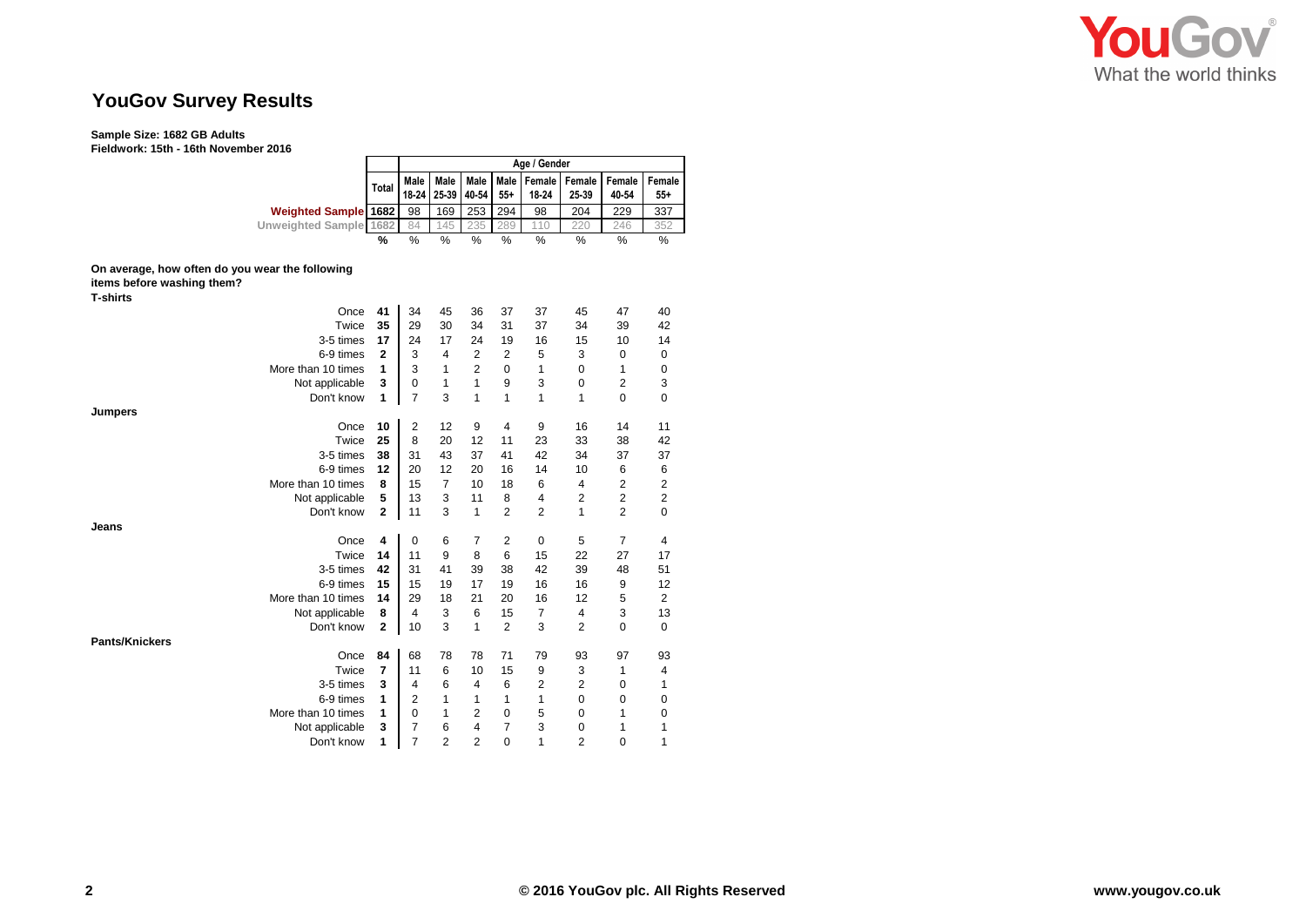

# **YouGov Survey Results**

### **Sample Size: 1682 GB Adults**

**Fieldwork: 15th - 16th November 2016**

|                             |       |    |             |                   |       | Age / Gender |                                                   |       |                 |
|-----------------------------|-------|----|-------------|-------------------|-------|--------------|---------------------------------------------------|-------|-----------------|
|                             | Total |    | Male   Male | 18-24 25-39 40-54 | $55+$ | 18-24        | Male   Male   Female   Female   Female  <br>25-39 | 40-54 | Female<br>$55+$ |
| <b>Weighted Sample 1682</b> |       | 98 | 169         | 253               | 294   | 98           | 204                                               | 229   | 337             |
| Unweighted Sample 1682      |       | 84 | 45          | 235               | 289   | 10           | 220                                               | 246   | 352             |
|                             | ℅     | %  | %           | %                 | %     | %            | %                                                 | %     | %               |

# **On average, how often do you wear the following**

| items before washing them? |                    |              |                |                |                |                |                |                |                |             |
|----------------------------|--------------------|--------------|----------------|----------------|----------------|----------------|----------------|----------------|----------------|-------------|
| <b>T-shirts</b>            |                    |              |                |                |                |                |                |                |                |             |
|                            | Once               | 41           | 34             | 45             | 36             | 37             | 37             | 45             | 47             | 40          |
|                            | Twice              | 35           | 29             | 30             | 34             | 31             | 37             | 34             | 39             | 42          |
|                            | 3-5 times          | 17           | 24             | 17             | 24             | 19             | 16             | 15             | 10             | 14          |
|                            | 6-9 times          | $\mathbf{2}$ | 3              | 4              | $\overline{2}$ | $\overline{2}$ | 5              | 3              | 0              | 0           |
|                            | More than 10 times | 1            | 3              | 1              | $\overline{2}$ | $\Omega$       | 1              | $\Omega$       | 1              | 0           |
|                            | Not applicable     | 3            | $\Omega$       | 1              | 1              | 9              | 3              | 0              | 2              | 3           |
|                            | Don't know         | 1            | 7              | 3              | 1              | 1              | 1              | 1              | 0              | $\mathbf 0$ |
| Jumpers                    |                    |              |                |                |                |                |                |                |                |             |
|                            | Once               | 10           | 2              | 12             | 9              | $\overline{4}$ | 9              | 16             | 14             | 11          |
|                            | Twice              | 25           | 8              | 20             | 12             | 11             | 23             | 33             | 38             | 42          |
|                            | 3-5 times          | 38           | 31             | 43             | 37             | 41             | 42             | 34             | 37             | 37          |
|                            | 6-9 times          | 12           | 20             | 12             | 20             | 16             | 14             | 10             | 6              | 6           |
|                            | More than 10 times | 8            | 15             | 7              | 10             | 18             | 6              | 4              | 2              | 2           |
|                            | Not applicable     | 5            | 13             | 3              | 11             | 8              | $\overline{4}$ | 2              | $\overline{2}$ | 2           |
|                            | Don't know         | $\mathbf{2}$ | 11             | 3              | 1              | $\overline{2}$ | $\overline{2}$ | 1              | $\overline{2}$ | $\mathbf 0$ |
| Jeans                      |                    |              |                |                |                |                |                |                |                |             |
|                            | Once               | 4            | $\mathbf 0$    | 6              | $\overline{7}$ | $\overline{2}$ | $\mathbf 0$    | 5              | 7              | 4           |
|                            | Twice              | 14           | 11             | 9              | 8              | 6              | 15             | 22             | 27             | 17          |
|                            | 3-5 times          | 42           | 31             | 41             | 39             | 38             | 42             | 39             | 48             | 51          |
|                            | 6-9 times          | 15           | 15             | 19             | 17             | 19             | 16             | 16             | 9              | 12          |
|                            | More than 10 times | 14           | 29             | 18             | 21             | 20             | 16             | 12             | 5              | 2           |
|                            | Not applicable     | 8            | 4              | 3              | 6              | 15             | 7              | 4              | 3              | 13          |
|                            | Don't know         | 2            | 10             | 3              | 1              | $\overline{2}$ | 3              | $\overline{2}$ | 0              | $\mathbf 0$ |
| <b>Pants/Knickers</b>      |                    |              |                |                |                |                |                |                |                |             |
|                            | Once               | 84           | 68             | 78             | 78             | 71             | 79             | 93             | 97             | 93          |
|                            | Twice              | 7            | 11             | 6              | 10             | 15             | 9              | 3              | 1              | 4           |
|                            | 3-5 times          | 3            | 4              | 6              | $\overline{4}$ | 6              | $\overline{2}$ | $\overline{2}$ | 0              | 1           |
|                            | 6-9 times          | 1            | $\overline{2}$ | 1              | 1              | 1              | 1              | 0              | 0              | 0           |
|                            | More than 10 times | 1            | $\Omega$       | 1              | $\overline{2}$ | 0              | 5              | 0              | 1              | $\mathbf 0$ |
|                            | Not applicable     | 3            | 7              | 6              | 4              | 7              | 3              | 0              | 1              | 1           |
|                            | Don't know         | 1            | 7              | $\overline{2}$ | $\overline{2}$ | 0              | 1              | 2              | 0              | 1           |
|                            |                    |              |                |                |                |                |                |                |                |             |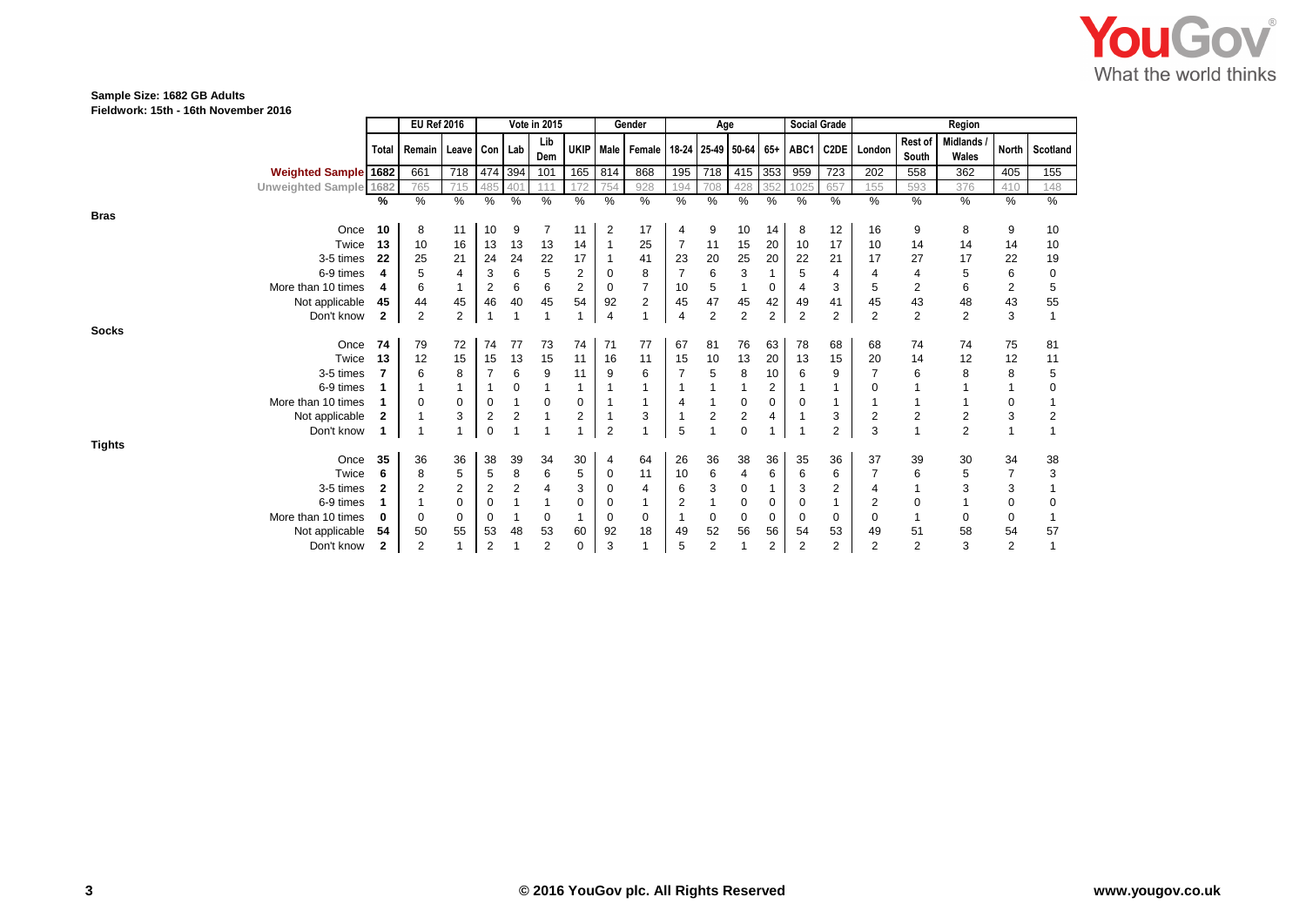

### **Sample Size: 1682 GB Adults**

**Fieldwork: 15th - 16th November 2016**

|                             |                | <b>EU Ref 2016</b><br>Vote in 2015 |                |                         | Gender<br>Age |                          |                |                |                                                                  | <b>Social Grade</b> |                | Region         |                |                |                |                |                  |                          |                         |                |
|-----------------------------|----------------|------------------------------------|----------------|-------------------------|---------------|--------------------------|----------------|----------------|------------------------------------------------------------------|---------------------|----------------|----------------|----------------|----------------|----------------|----------------|------------------|--------------------------|-------------------------|----------------|
|                             | <b>Total</b>   | Remain   Leave   Con   Lab         |                |                         |               | Lib<br>Dem               |                |                | UKIP   Male   Female   18-24   25-49   50-64   65+   ABC1   C2DE |                     |                |                |                |                |                | London         | Rest of<br>South | <b>Midlands</b><br>Wales |                         | North Scotland |
| <b>Weighted Sample 1682</b> |                | 661                                | 718            |                         | 474 394       | 101                      | 165            | 814            | 868                                                              | 195                 | 718            | 415 353        |                | 959            | 723            | 202            | 558              | 362                      | 405                     | 155            |
| Unweighted Sample 1682      |                | 765                                | 715            | 485                     | 401           | 11                       | 172            | 754            | 928                                                              | 194                 | 708            | 428            |                | 1025           | 657            | 155            | 593              | 376                      | 410                     | 148            |
|                             | %              | %                                  | %              | %                       | %             | %                        | %              | %              | %                                                                | %                   | %              | %              | $\%$           | $\%$           | %              | $\frac{0}{0}$  | %                | %                        | %                       | %              |
| <b>Bras</b>                 |                |                                    |                |                         |               |                          |                |                |                                                                  |                     |                |                |                |                |                |                |                  |                          |                         |                |
|                             | Once<br>10     | 8                                  | 11             | 10                      | 9             |                          | 11             | $\overline{2}$ | 17                                                               | 4                   | 9              | 10             | 14             | 8              | 12             | 16             | 9                | 8                        | 9                       | 10             |
|                             | 13<br>Twice    | 10                                 | 16             | 13                      | 13            | 13                       | 14             |                | 25                                                               | $\overline{7}$      | 11             | 15             | 20             | 10             | 17             | 10             | 14               | 14                       | 14                      | 10             |
| 3-5 times                   | 22             | 25                                 | 21             | 24                      | 24            | 22                       | 17             |                | 41                                                               | 23                  | 20             | 25             | 20             | 22             | 21             | 17             | 27               | 17                       | 22                      | 19             |
| 6-9 times                   | 4              | 5                                  | 4              | 3                       | 6             | 5                        | $\overline{c}$ | $\Omega$       | 8                                                                |                     | 6              | 3              |                | 5              | 4              |                |                  | 5                        | 6                       | 0              |
| More than 10 times          | 4              | 6                                  | $\mathbf{1}$   | 2                       | 6             | 6                        | 2              | 0              | $\overline{7}$                                                   | 10                  | 5              |                | 0              |                | 3              | 5              | 2                | 6                        | $\overline{\mathbf{c}}$ | 5              |
| Not applicable              | 45             | 44                                 | 45             | 46                      | 40            | 45                       | 54             | 92             | $\overline{2}$                                                   | 45                  | 47             | 45             | 42             | 49             | 41             | 45             | 43               | 48                       | 43                      | 55             |
| Don't know                  | 2              | $\overline{2}$                     | $\overline{2}$ | $\overline{\mathbf{1}}$ |               |                          |                | $\overline{4}$ | $\mathbf{1}$                                                     | 4                   | $\overline{2}$ | $\overline{c}$ | 2              | $\mathbf{2}$   | $\overline{2}$ | $\overline{2}$ | $\overline{2}$   | $\overline{2}$           | 3                       |                |
| <b>Socks</b>                |                |                                    |                |                         |               |                          |                |                |                                                                  |                     |                |                |                |                |                |                |                  |                          |                         |                |
|                             | Once<br>74     | 79                                 | 72             | 74                      | 77            | 73                       | 74             | 71             | 77                                                               | 67                  | 81             | 76             | 63             | 78             | 68             | 68             | 74               | 74                       | 75                      | 81             |
|                             | 13<br>Twice    | 12                                 | 15             | 15                      | 13            | 15                       | 11             | 16             | 11                                                               | 15                  | 10             | 13             | 20             | 13             | 15             | 20             | 14               | 12                       | 12                      | 11             |
| 3-5 times                   | $\overline{7}$ | 6                                  | 8              |                         | 6             | 9                        | 11             | 9              | 6                                                                |                     | 5              | 8              | 10             | 6              | 9              |                | 6                | 8                        | 8                       | 5              |
| 6-9 times                   |                |                                    | $\mathbf{1}$   |                         | 0             |                          |                |                | 1                                                                |                     |                |                | 2              |                |                |                |                  |                          |                         | 0              |
| More than 10 times          |                | $\Omega$                           | 0              | 0                       |               | $\mathbf 0$              | 0              |                | $\mathbf{1}$                                                     |                     |                | $\mathbf 0$    | 0              | $\Omega$       | 1              |                |                  |                          | 0                       |                |
| Not applicable              | 2              |                                    | 3              | 2                       | 2             |                          | 2              |                | 3                                                                |                     | 2              | 2              | 4              |                | 3              | 2              | 2                | $\overline{2}$           | 3                       |                |
| Don't know                  |                |                                    | $\mathbf{1}$   | $\mathbf 0$             |               | $\overline{\phantom{a}}$ |                | $\overline{2}$ | 1                                                                | 5                   | $\overline{1}$ | 0              |                |                | $\overline{2}$ | 3              |                  | $\overline{2}$           | $\mathbf{1}$            |                |
| <b>Tights</b>               |                |                                    |                |                         |               |                          |                |                |                                                                  |                     |                |                |                |                |                |                |                  |                          |                         |                |
|                             | Once<br>35     | 36                                 | 36             | 38                      | 39            | 34                       | 30             | 4              | 64                                                               | 26                  | 36             | 38             | 36             | 35             | 36             | 37             | 39               | 30                       | 34                      | 38             |
|                             | Twice<br>6     | 8                                  | 5              | 5                       | 8             | 6                        | 5              | 0              | 11                                                               | 10                  | 6              | 4              | 6              | 6              | 6              |                | 6                | 5                        | 7                       | 3              |
| 3-5 times                   | 2              | $\overline{c}$                     | $\overline{2}$ | 2                       | 2             | $\overline{4}$           | 3              | $\Omega$       | $\overline{4}$                                                   | 6                   | 3              | 0              |                | 3              | 2              |                |                  | 3                        | 3                       |                |
| 6-9 times                   |                |                                    | $\mathbf 0$    | 0                       |               |                          | 0              | 0              | 1                                                                | 2                   |                | 0              |                | 0              |                | 2              | 0                |                          | 0                       |                |
| More than 10 times          | 0              | $\Omega$                           | 0              | 0                       |               | $\mathbf 0$              |                | $\mathbf 0$    | 0                                                                |                     | 0              | 0              | 0              | 0              | 0              | 0              |                  | 0                        | 0                       |                |
| Not applicable              | 54             | 50                                 | 55             | 53                      | 48            | 53                       | 60             | 92             | 18                                                               | 49                  | 52             | 56             | 56             | 54             | 53             | 49             | 51               | 58                       | 54                      | 57             |
| Don't know                  | 2              | $\overline{2}$                     | 1              | 2                       |               | $\overline{2}$           | 0              | 3              | 1                                                                | 5                   | $\overline{2}$ |                | $\overline{2}$ | $\overline{2}$ | $\overline{2}$ | 2              | $\overline{2}$   | 3                        | $\overline{2}$          |                |